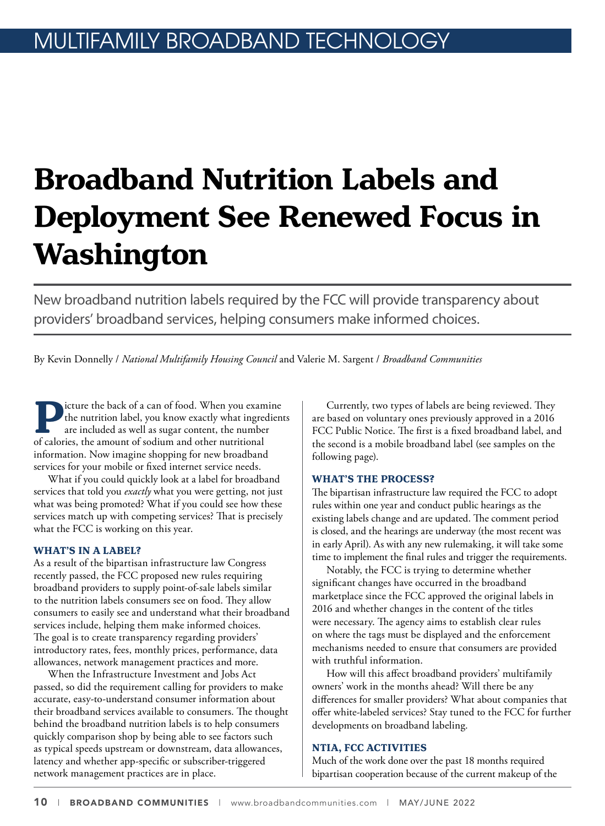## **Broadband Nutrition Labels and Deployment See Renewed Focus in Washington**

New broadband nutrition labels required by the FCC will provide transparency about providers' broadband services, helping consumers make informed choices.

By Kevin Donnelly / *National Multifamily Housing Council* and Valerie M. Sargent / *Broadband Communities*

**P**icture the back of a can of food. When you examine<br>the nutrition label, you know exactly what ingredien<br>are included as well as sugar content, the number<br>of calories, the amount of sodium and other nutritional the nutrition label, you know exactly what ingredients are included as well as sugar content, the number of calories, the amount of sodium and other nutritional information. Now imagine shopping for new broadband services for your mobile or fixed internet service needs.

What if you could quickly look at a label for broadband services that told you *exactly* what you were getting, not just what was being promoted? What if you could see how these services match up with competing services? That is precisely what the FCC is working on this year.

## **WHAT'S IN A LABEL?**

As a result of the bipartisan infrastructure law Congress recently passed, the FCC proposed new rules requiring broadband providers to supply point-of-sale labels similar to the nutrition labels consumers see on food. They allow consumers to easily see and understand what their broadband services include, helping them make informed choices. The goal is to create transparency regarding providers' introductory rates, fees, monthly prices, performance, data allowances, network management practices and more.

When the Infrastructure Investment and Jobs Act passed, so did the requirement calling for providers to make accurate, easy-to-understand consumer information about their broadband services available to consumers. The thought behind the broadband nutrition labels is to help consumers quickly comparison shop by being able to see factors such as typical speeds upstream or downstream, data allowances, latency and whether app-specific or subscriber-triggered network management practices are in place.

Currently, two types of labels are being reviewed. They are based on voluntary ones previously approved in a 2016 FCC Public Notice. The first is a fixed broadband label, and the second is a mobile broadband label (see samples on the following page).

## **WHAT'S THE PROCESS?**

The bipartisan infrastructure law required the FCC to adopt rules within one year and conduct public hearings as the existing labels change and are updated. The comment period is closed, and the hearings are underway (the most recent was in early April). As with any new rulemaking, it will take some time to implement the final rules and trigger the requirements.

Notably, the FCC is trying to determine whether significant changes have occurred in the broadband marketplace since the FCC approved the original labels in 2016 and whether changes in the content of the titles were necessary. The agency aims to establish clear rules on where the tags must be displayed and the enforcement mechanisms needed to ensure that consumers are provided with truthful information.

How will this affect broadband providers' multifamily owners' work in the months ahead? Will there be any differences for smaller providers? What about companies that offer white-labeled services? Stay tuned to the FCC for further developments on broadband labeling.

## **NTIA, FCC ACTIVITIES**

Much of the work done over the past 18 months required bipartisan cooperation because of the current makeup of the